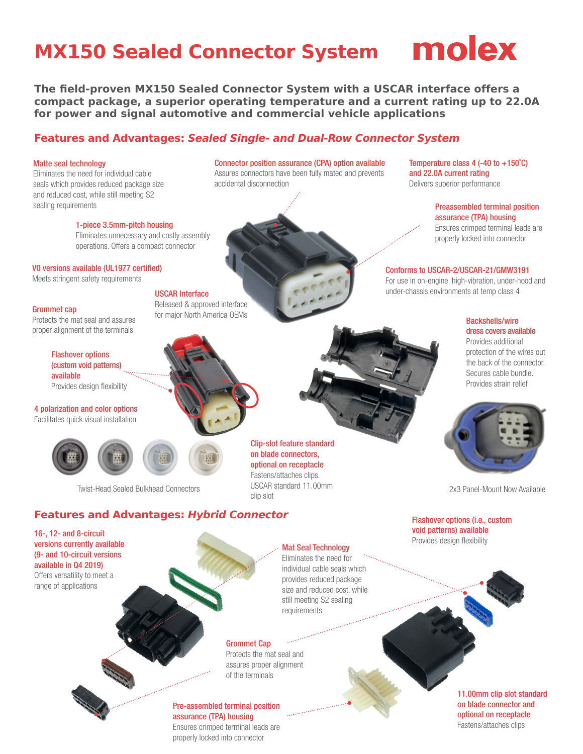## **MX150 Sealed Connector System MORX**



**The field-proven MX150 Sealed Connector System with a USCAR interface offers a compact package, a superior operating temperature and a current rating up to 22.0A for power and signal automotive and commercial vehicle applications**

#### **Features and Advantages: Sealed Single- and Dual-Row Connector System**

#### Matte seal technology

Eliminates the need for individual cable seals which provides reduced package size and reduced cost, while still meeting S2 sealing requirements **Example 2** is a sealing requirements of the sealing requirements of the sealing requirements

Connector position assurance (CPA) option available Assures connectors have been fully mated and prevents accidental disconnection

Temperature class 4 (-40 to +150˚C) and 22.0A current rating Delivers superior performance

> assurance (TPA) housing Ensures crimped terminal leads are properly locked into connector

1-piece 3.5mm-pitch housing Eliminates unnecessary and costly assembly

operations. Offers a compact connector

V0 versions available (UL1977 certified)

Meets stringent safety requirements

#### Grommet cap

Protects the mat seal and assures proper alignment of the terminals

#### Flashover options (custom void patterns) available Provides design flexibility

4 polarization and color options Facilitates quick visual installation





USCAR Interface

Released & approved interface for major North America OEMs

Twist-Head Sealed Bulkhead Connectors 2x3 Panel-Mount Now Available

### **Features and Advantages: Hybrid Connector**

16-, 12- and 8-circuit versions currently available (9- and 10-circuit versions available in Q4 2019) Offers versatility to meet a

range of applications

clin slot

#### Mat Seal Technology

Eliminates the need for individual cable seals which provides reduced package size and reduced cost, while still meeting S2 sealing requirements

#### Grommet Cap

Protects the mat seal and assures proper alignment of the terminals

#### Pre-assembled terminal position assurance (TPA) housing

Ensures crimped terminal leads are properly locked into connector

11.00mm clip slot standard on blade connector and optional on receptacle Fastens/attaches clips

Clip-slot feature standard on blade connectors, optional on receptacle Fastens/attaches clips. USCAR standard 11.00mm

Conforms to USCAR-2/USCAR-21/GMW3191 For use in on-engine, high-vibration, under-hood and under-chassis environments at temp class 4

#### Backshells/wire dress covers available

Provides additional protection of the wires out the back of the connector. Secures cable bundle. Provides strain relief



Flashover options (i.e., custom void patterns) available Provides design flexibility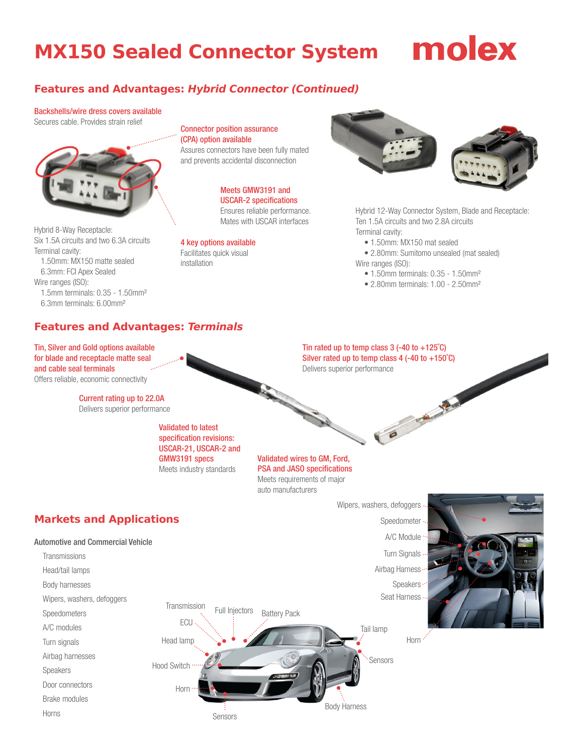## **MX150 Sealed Connector System**

## molex

### **Features and Advantages: Hybrid Connector (Continued)**

#### Backshells/wire dress covers available

Secures cable. Provides strain relief



Hybrid 8-Way Receptacle: Six 1.5A circuits and two 6.3A circuits Terminal cavity: 1.50mm: MX150 matte sealed 6.3mm: FCI Apex Sealed Wire ranges (ISO): 1.5mm terminals: 0.35 - 1.50mm²

6.3mm terminals: 6.00mm²

Connector position assurance (CPA) option available Assures connectors have been fully mated

and prevents accidental disconnection

Meets GMW3191 and USCAR-2 specifications Ensures reliable performance. Mates with USCAR interfaces

4 key options available Facilitates quick visual installation



Hybrid 12-Way Connector System, Blade and Receptacle: Ten 1.5A circuits and two 2.8A circuits Terminal cavity:

• 1.50mm: MX150 mat sealed

• 2.80mm: Sumitomo unsealed (mat sealed) Wire ranges (ISO):

- 1.50mm terminals: 0.35 1.50mm<sup>2</sup>
- 2.80mm terminals: 1.00 2.50mm<sup>2</sup>

B CAMPING

#### **Features and Advantages: Terminals**

Tin, Silver and Gold options available for blade and receptacle matte seal and cable seal terminals Offers reliable, economic connectivity

> Current rating up to 22.0A Delivers superior performance

> > Validated to latest specification revisions: USCAR-21, USCAR-2 and GMW3191 specs Meets industry standards

Tin rated up to temp class  $3$  (-40 to +125°C) Silver rated up to temp class 4 (-40 to +150˚C) Delivers superior performance

Validated wires to GM, Ford, PSA and JASO specifications Meets requirements of major auto manufacturers

## **Markets and Applications**

#### Automotive and Commercial Vehicle



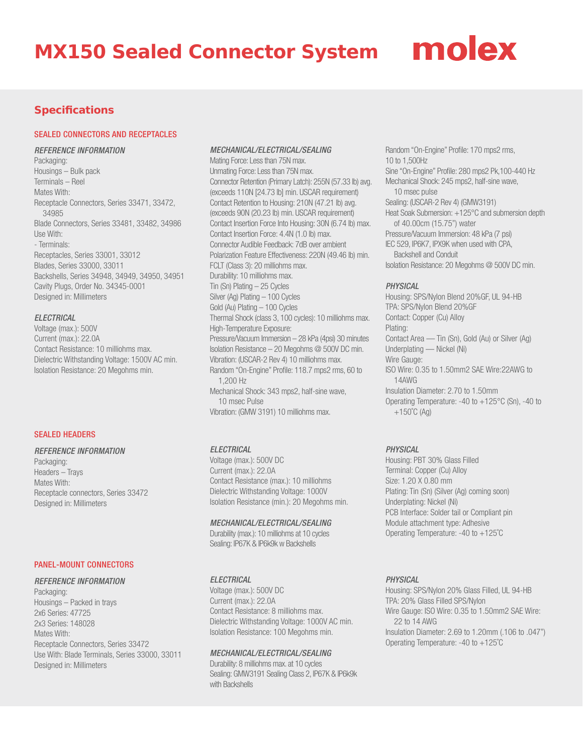### **MX150 Sealed Connector System**

# molex

#### **Specifications**

#### SEALED CONNECTORS AND RECEPTACLES

#### *REFERENCE INFORMATION*

Packaging: Housings – Bulk pack Terminals – Reel Mates With: Receptacle Connectors, Series 33471, 33472, 34985 Blade Connectors, Series 33481, 33482, 34986 Use With: - Terminals: Receptacles, Series 33001, 33012 Blades, Series 33000, 33011 Backshells, Series 34948, 34949, 34950, 34951 Cavity Plugs, Order No. 34345-0001 Designed in: Millimeters

#### *ELECTRICAL*

Voltage (max.): 500V Current (max.): 22.0A Contact Resistance: 10 milliohms max. Dielectric Withstanding Voltage: 1500V AC min. Isolation Resistance: 20 Megohms min.

#### SEALED HEADERS

#### *REFERENCE INFORMATION*

Packaging: Headers – Trays Mates With: Receptacle connectors, Series 33472 Designed in: Millimeters

#### PANEL-MOUNT CONNECTORS

#### *REFERENCE INFORMATION*

Packaging: Housings – Packed in trays 2x6 Series: 47725 2x3 Series: 148028 Mates With: Receptacle Connectors, Series 33472 Use With: Blade Terminals, Series 33000, 33011 Designed in: Millimeters

#### *MECHANICAL/ELECTRICAL/SEALING*

Mating Force: Less than 75N max. Unmating Force: Less than 75N max. Connector Retention (Primary Latch): 255N (57.33 lb) avg. (exceeds 110N [24.73 lb] min. USCAR requirement) Contact Retention to Housing: 210N (47.21 lb) avg. (exceeds 90N (20.23 lb) min. USCAR requirement) Contact Insertion Force Into Housing: 30N (6.74 lb) max. Contact Insertion Force: 4.4N (1.0 lb) max. Connector Audible Feedback: 7dB over ambient Polarization Feature Effectiveness: 220N (49.46 lb) min. FCLT (Class 3): 20 milliohms max. Durability: 10 milliohms max. Tin (Sn) Plating – 25 Cycles Silver (Ag) Plating – 100 Cycles Gold (Au) Plating – 100 Cycles Thermal Shock (class 3, 100 cycles): 10 milliohms max. High-Temperature Exposure: Pressure/Vacuum Immersion – 28 kPa (4psi) 30 minutes Isolation Resistance – 20 Megohms @ 500V DC min. Vibration: (USCAR-2 Rev 4) 10 milliohms max. Random "On-Engine" Profile: 118.7 mps2 rms, 60 to 1,200 Hz Mechanical Shock: 343 mps2, half-sine wave, 10 msec Pulse Vibration: (GMW 3191) 10 milliohms max.

#### *ELECTRICAL*

Voltage (max.): 500V DC Current (max.): 22.0A Contact Resistance (max.): 10 milliohms Dielectric Withstanding Voltage: 1000V Isolation Resistance (min.): 20 Megohms min.

#### *MECHANICAL/ELECTRICAL/SEALING*

Durability (max.): 10 milliohms at 10 cycles Sealing: IP67K & IP6k9k w Backshells

#### *ELECTRICAL*

Voltage (max.): 500V DC Current (max.): 22.0A Contact Resistance: 8 milliohms max. Dielectric Withstanding Voltage: 1000V AC min. Isolation Resistance: 100 Megohms min.

#### *MECHANICAL/ELECTRICAL/SEALING*

Durability: 8 milliohms max. at 10 cycles Sealing: GMW3191 Sealing Class 2, IP67K & IP6k9k with Backshells

Random "On-Engine" Profile: 170 mps2 rms, 10 to 1,500Hz Sine "On-Engine" Profile: 280 mps2 Pk,100-440 Hz Mechanical Shock: 245 mps2, half-sine wave, 10 msec pulse Sealing: (USCAR-2 Rev 4) (GMW3191) Heat Soak Submersion: +125°C and submersion depth of 40.00cm (15.75") water Pressure/Vacuum Immersion: 48 kPa (7 psi) IEC 529, IP6K7, IPX9K when used with CPA, Backshell and Conduit Isolation Resistance: 20 Megohms @ 500V DC min.

#### *PHYSICAL*

Housing: SPS/Nylon Blend 20%GF, UL 94-HB TPA: SPS/Nylon Blend 20%GF Contact: Copper (Cu) Alloy Plating: Contact Area — Tin (Sn), Gold (Au) or Silver (Ag) Underplating — Nickel (Ni) Wire Gauge: ISO Wire: 0.35 to 1.50mm2 SAE Wire:22AWG to 14AWG Insulation Diameter: 2.70 to 1.50mm Operating Temperature: -40 to +125°C (Sn), -40 to  $+150^{\circ}$ C (Ag)

#### *PHYSICAL*

Housing: PBT 30% Glass Filled Terminal: Copper (Cu) Alloy Size: 1.20 X 0.80 mm Plating: Tin (Sn) (Silver (Ag) coming soon) Underplating: Nickel (Ni) PCB Interface: Solder tail or Compliant pin Module attachment type: Adhesive Operating Temperature: -40 to +125˚C

#### *PHYSICAL*

Housing: SPS/Nylon 20% Glass Filled, UL 94-HB TPA: 20% Glass Filled SPS/Nylon Wire Gauge: ISO Wire: 0.35 to 1.50mm2 SAE Wire: 22 to 14 AWG Insulation Diameter: 2.69 to 1.20mm (.106 to .047") Operating Temperature: -40 to +125˚C